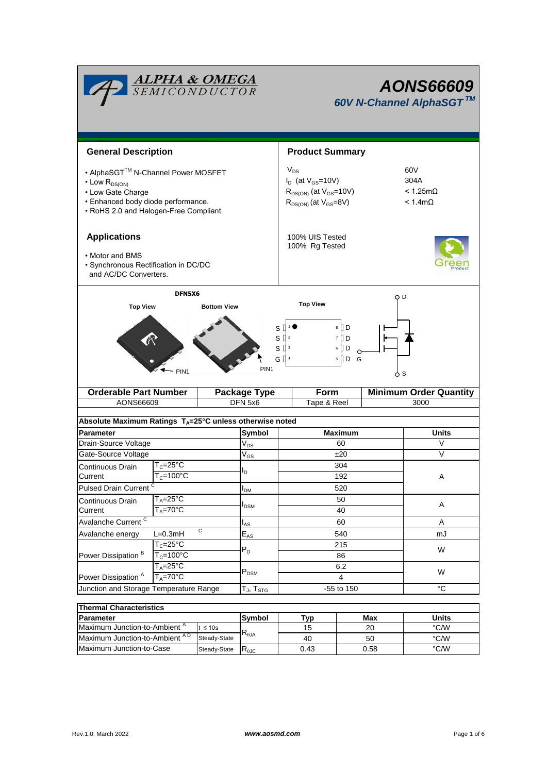| <b>ALPHA &amp; OMEGA</b><br>SEMICONDUCTOR                                                                                                                          |                                                 |                                                      |                            | <b>AONS66609</b><br>60V N-Channel AlphaSGT™                                                                                                                               |            |                               |  |  |
|--------------------------------------------------------------------------------------------------------------------------------------------------------------------|-------------------------------------------------|------------------------------------------------------|----------------------------|---------------------------------------------------------------------------------------------------------------------------------------------------------------------------|------------|-------------------------------|--|--|
| <b>General Description</b>                                                                                                                                         |                                                 |                                                      |                            | <b>Product Summary</b>                                                                                                                                                    |            |                               |  |  |
| • AlphaSGT™ N-Channel Power MOSFET<br>$\cdot$ Low $R_{DS(ON)}$<br>• Low Gate Charge<br>• Enhanced body diode performance.<br>• RoHS 2.0 and Halogen-Free Compliant |                                                 |                                                      |                            | $V_{DS}$<br>60V<br>$I_D$ (at $V_{GS}$ =10V)<br>304A<br>$R_{DS(ON)}$ (at $V_{GS}$ =10V)<br>$< 1.25 \text{m}\Omega$<br>$R_{DS(ON)}$ (at $V_{GS}=8V$ )<br>$< 1.4$ m $\Omega$ |            |                               |  |  |
| <b>Applications</b><br>• Motor and BMS<br>· Synchronous Rectification in DC/DC<br>and AC/DC Converters.                                                            |                                                 |                                                      |                            | 100% UIS Tested<br>100% Rg Tested                                                                                                                                         |            |                               |  |  |
| <b>Top View</b>                                                                                                                                                    | DFN5X6<br>PIN <sub>1</sub>                      | <b>Bottom View</b>                                   | S<br>PIN <sub>1</sub>      | <b>Top View</b><br>8 ∏ D<br>s [<br>7 D<br>$S^{13}$<br>$6$ D<br>G $\left[\right]$ <sup>4</sup><br>$5$ D G                                                                  | O D<br>ለ s |                               |  |  |
| <b>Orderable Part Number</b>                                                                                                                                       |                                                 |                                                      | Package Type               | Form                                                                                                                                                                      |            | <b>Minimum Order Quantity</b> |  |  |
| AONS66609                                                                                                                                                          |                                                 |                                                      | DFN 5x6                    | Tape & Reel                                                                                                                                                               |            | 3000                          |  |  |
|                                                                                                                                                                    |                                                 |                                                      |                            |                                                                                                                                                                           |            |                               |  |  |
| Absolute Maximum Ratings $T_A = 25^\circ C$ unless otherwise noted                                                                                                 |                                                 |                                                      |                            |                                                                                                                                                                           |            |                               |  |  |
| <b>Parameter</b>                                                                                                                                                   |                                                 |                                                      | Symbol                     | <b>Maximum</b>                                                                                                                                                            |            | <b>Units</b>                  |  |  |
| Drain-Source Voltage                                                                                                                                               |                                                 |                                                      | $V_{DS}$                   | 60                                                                                                                                                                        |            | V                             |  |  |
| Gate-Source Voltage                                                                                                                                                |                                                 |                                                      | $\mathsf{V}_{\mathsf{GS}}$ | ±20                                                                                                                                                                       |            | V                             |  |  |
| Continuous Drain                                                                                                                                                   | $T_c = 25\overline{C}$<br>$T_c = 100^{\circ}$ C |                                                      | ı,                         | 304                                                                                                                                                                       |            |                               |  |  |
| Current                                                                                                                                                            |                                                 |                                                      |                            | 192                                                                                                                                                                       |            |                               |  |  |
|                                                                                                                                                                    | Pulsed Drain Current <sup>C</sup>               |                                                      | $I_{DM}$                   | 520                                                                                                                                                                       |            |                               |  |  |
| Continuous Drain                                                                                                                                                   | $T_A = 25$ °C<br>$T_A = 70^\circ C$             |                                                      | <b>I</b> <sub>DSM</sub>    | 50                                                                                                                                                                        |            | Α                             |  |  |
| Current<br>Avalanche Current <sup>C</sup>                                                                                                                          |                                                 |                                                      | 40                         |                                                                                                                                                                           | A          |                               |  |  |
| C<br>$L=0.3mH$                                                                                                                                                     |                                                 | $I_{AS}$                                             | 60                         |                                                                                                                                                                           |            |                               |  |  |
| Avalanche energy<br>Power Dissipation <sup>B</sup>                                                                                                                 | $T_c = 25^{\circ}C$                             |                                                      | $\mathsf{E}_{\mathsf{AS}}$ | 540<br>215                                                                                                                                                                |            | mJ                            |  |  |
|                                                                                                                                                                    | $T_c = 100^{\circ}$ C                           |                                                      | $P_D$                      | 86                                                                                                                                                                        |            | W                             |  |  |
|                                                                                                                                                                    | $T_A = 25$ °C                                   |                                                      |                            | 6.2                                                                                                                                                                       |            |                               |  |  |
| Power Dissipation <sup>A</sup>                                                                                                                                     | $T_A = 70^\circ C$                              |                                                      | $P_{DSM}$                  | 4                                                                                                                                                                         |            | W                             |  |  |
| Junction and Storage Temperature Range                                                                                                                             |                                                 | $\mathsf{T}_{\mathsf{J}}, \mathsf{T}_{\textsf{STG}}$ | -55 to 150                 |                                                                                                                                                                           | °C         |                               |  |  |
|                                                                                                                                                                    |                                                 |                                                      |                            |                                                                                                                                                                           |            |                               |  |  |
| <b>Thermal Characteristics</b>                                                                                                                                     |                                                 |                                                      |                            |                                                                                                                                                                           |            |                               |  |  |

| Thermal Unaracteristics                   |              |                              |      |       |      |  |  |
|-------------------------------------------|--------------|------------------------------|------|-------|------|--|--|
| <b>Parameter</b>                          | Symbol       | ™ур                          | Max  | Units |      |  |  |
| Maximum Junction-to-Ambient <sup>"</sup>  | t ≤ 10s      |                              | 15   | 20    | °C/W |  |  |
| Maximum Junction-to-Ambient <sup>AD</sup> | Steady-State | $\mathsf{R}_{0,\mathsf{IA}}$ | 40   | 50    | °C/W |  |  |
| Maximum Junction-to-Case                  | Steady-State | $\mathsf{R}_{\text{0JC}}$    | 0.43 | 0.58  | °C/W |  |  |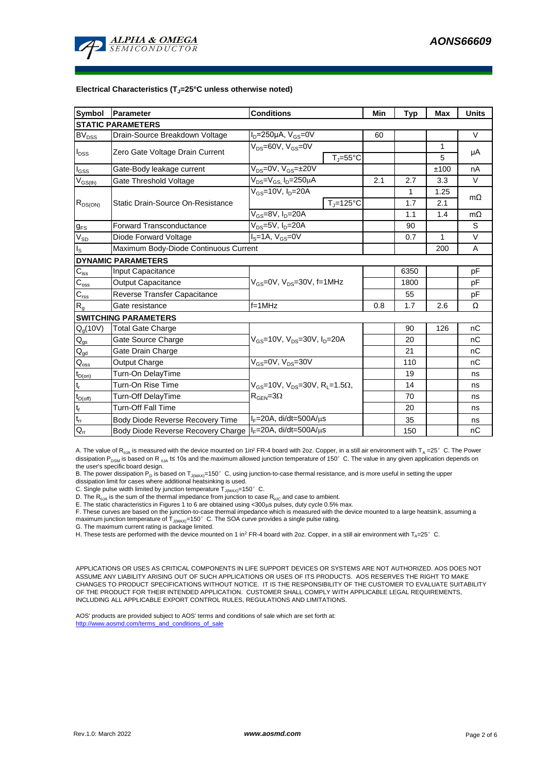

#### **Electrical Characteristics (TJ=25°C unless otherwise noted)**

| <b>Symbol</b>                  | Parameter                             | <b>Conditions</b>                                                                          | Min                            | <b>Typ</b> | <b>Max</b> | <b>Units</b> |           |  |  |
|--------------------------------|---------------------------------------|--------------------------------------------------------------------------------------------|--------------------------------|------------|------------|--------------|-----------|--|--|
| <b>STATIC PARAMETERS</b>       |                                       |                                                                                            |                                |            |            |              |           |  |  |
| $BV_{\underline{DSS}}$         | Drain-Source Breakdown Voltage        | $I_D = 250 \mu A$ , $V_{GS} = 0V$                                                          |                                | 60         |            |              | $\vee$    |  |  |
|                                |                                       | V <sub>DS</sub> =60V, V <sub>GS</sub> =0V                                                  |                                |            |            | 1            |           |  |  |
| <b>I</b> <sub>DSS</sub>        | Zero Gate Voltage Drain Current       |                                                                                            | $T_{\parallel} = 55^{\circ}$ C |            |            | 5            | μA        |  |  |
| $\mathsf{I}_{\mathsf{GSS}}$    | Gate-Body leakage current             | $V_{DS} = 0V$ , $V_{GS} = \pm 20V$                                                         |                                |            |            | ±100         | nA        |  |  |
| $\mathsf{V}_{\mathsf{GS(th)}}$ | Gate Threshold Voltage                | $V_{DS} = V_{GS}$ , $I_D = 250 \mu A$                                                      |                                | 2.1        | 2.7        | 3.3          | $\vee$    |  |  |
|                                |                                       | $V_{GS}$ =10V, $I_{D}$ =20A                                                                |                                |            | 1          | 1.25         |           |  |  |
| $R_{DS(ON)}$                   | Static Drain-Source On-Resistance     |                                                                                            | $T_i = 125^{\circ}C$           |            | 1.7        | 2.1          | $m\Omega$ |  |  |
|                                |                                       | V <sub>GS</sub> =8V, I <sub>D</sub> =20A                                                   |                                |            | 1.1        | 1.4          | $m\Omega$ |  |  |
| $g_{FS}$                       | <b>Forward Transconductance</b>       | V <sub>ns</sub> =5V, I <sub>n</sub> =20A                                                   |                                |            | 90         |              | S         |  |  |
| $V_{SD}$                       | Diode Forward Voltage                 | $IS=1A, VGS=0V$                                                                            |                                |            | 0.7        | $\mathbf{1}$ | $\vee$    |  |  |
| ı's                            | Maximum Body-Diode Continuous Current |                                                                                            |                                |            | 200        | A            |           |  |  |
| <b>DYNAMIC PARAMETERS</b>      |                                       |                                                                                            |                                |            |            |              |           |  |  |
| $C_{iss}$                      | Input Capacitance                     |                                                                                            |                                |            | 6350       |              | pF        |  |  |
| $C_{\rm oss}$                  | <b>Output Capacitance</b>             | $V_{GS}$ =0V, $V_{DS}$ =30V, f=1MHz                                                        |                                |            | 1800       |              | pF        |  |  |
| $C_{rss}$                      | Reverse Transfer Capacitance          |                                                                                            |                                | 55         |            | pF           |           |  |  |
| $R_{q}$                        | Gate resistance                       | $f=1$ MHz                                                                                  |                                | 0.8        | 1.7        | 2.6          | Ω         |  |  |
| <b>SWITCHING PARAMETERS</b>    |                                       |                                                                                            |                                |            |            |              |           |  |  |
| $Q_g(10V)$                     | <b>Total Gate Charge</b>              | $V_{GS}$ =10V, $V_{DS}$ =30V, $I_{D}$ =20A                                                 |                                |            | 90         | 126          | nC        |  |  |
| $\mathsf{Q}_{\mathsf{gs}}$     | Gate Source Charge                    |                                                                                            |                                |            | 20         |              | nC        |  |  |
| $Q_{gd}$                       | Gate Drain Charge                     |                                                                                            |                                |            | 21         |              | nC        |  |  |
| $Q_{\rm oss}$                  | Output Charge                         | $V_{GS}$ =0V, $V_{DS}$ =30V                                                                |                                |            | 110        |              | nC        |  |  |
| $t_{D(on)}$                    | Turn-On DelayTime                     |                                                                                            |                                |            | 19         |              | ns        |  |  |
| t,                             | Turn-On Rise Time                     | $V_{GS}$ =10V, $V_{DS}$ =30V, R <sub>1</sub> =1.5 $\Omega$ ,<br>$R_{\text{GEN}} = 3\Omega$ |                                |            | 14         |              | ns        |  |  |
| $t_{D(off)}$                   | Turn-Off DelayTime                    |                                                                                            |                                |            | 70         |              | ns        |  |  |
| $\mathfrak{t}_{\mathsf{f}}$    | <b>Turn-Off Fall Time</b>             |                                                                                            |                                |            | 20         |              | ns        |  |  |
| $\mathfrak{t}_{\text{rr}}$     | Body Diode Reverse Recovery Time      | $I_F = 20A$ , di/dt=500A/ $\mu$ s                                                          |                                |            | 35         |              | ns        |  |  |
| $Q_{rr}$                       | Body Diode Reverse Recovery Charge    | $IF=20A$ , di/dt=500A/ $\mu$ s                                                             |                                |            | 150        |              | nC        |  |  |

A. The value of R<sub>0JA</sub> is measured with the device mounted on 1in<sup>2</sup> FR-4 board with 2oz. Copper, in a still air environment with  $T_A = 25^\circ$  C. The Power dissipation P<sub>DSM</sub> is based on R  $_{\text{q1A}}$  t≤ 10s and the maximum allowed junction temperature of 150°C. The value in any given application depends on the user's specific board design.

B. The power dissipation P<sub>D</sub> is based on T<sub>J(MAX)</sub>=150°C, using junction-to-case thermal resistance, and is more useful in setting the upper<br>dissipation limit for cases where additional heatsinking is used.

C. Single pulse width limited by junction temperature  $\overline{T}_{J(MAX)}$ =150°C.

D. The  $R_{q_{JA}}$  is the sum of the thermal impedance from junction to case  $R_{q_{JC}}$  and case to ambient.

E. The static characteristics in Figures 1 to 6 are obtained using <300µs pulses, duty cycle 0.5% max.<br>F. These curves are based on the junction-to-case thermal impedance which is measured with the device mounted to a larg

G. The maximum current rating is package limited.

H. These tests are performed with the device mounted on 1 in<sup>2</sup> FR-4 board with 2oz. Copper, in a still air environment with T<sub>A</sub>=25°C.

APPLICATIONS OR USES AS CRITICAL COMPONENTS IN LIFE SUPPORT DEVICES OR SYSTEMS ARE NOT AUTHORIZED. AOS DOES NOT ASSUME ANY LIABILITY ARISING OUT OF SUCH APPLICATIONS OR USES OF ITS PRODUCTS. AOS RESERVES THE RIGHT TO MAKE CHANGES TO PRODUCT SPECIFICATIONS WITHOUT NOTICE. IT IS THE RESPONSIBILITY OF THE CUSTOMER TO EVALUATE SUITABILITY OF THE PRODUCT FOR THEIR INTENDED APPLICATION. CUSTOMER SHALL COMPLY WITH APPLICABLE LEGAL REQUIREMENTS, INCLUDING ALL APPLICABLE EXPORT CONTROL RULES, REGULATIONS AND LIMITATIONS.

AOS' products are provided subject to AOS' terms and conditions of sale which are set forth at: http://www.aosmd.com/terms\_and\_conditions\_of\_sale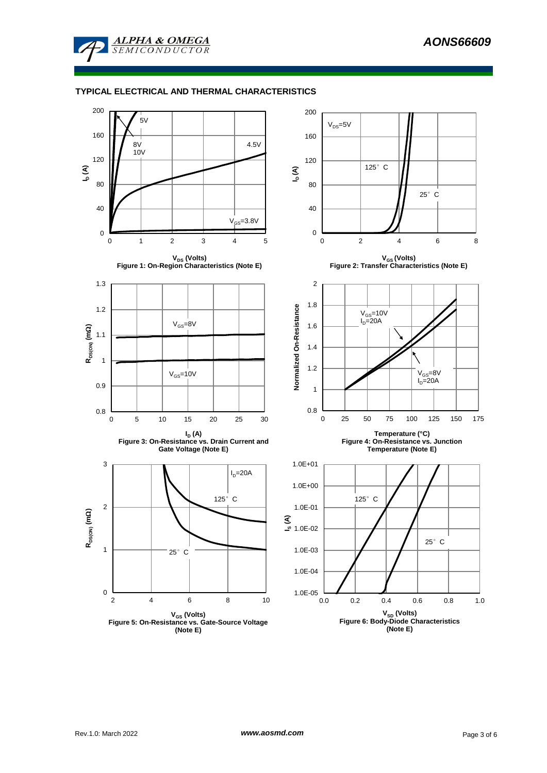

#### **TYPICAL ELECTRICAL AND THERMAL CHARACTERISTICS**

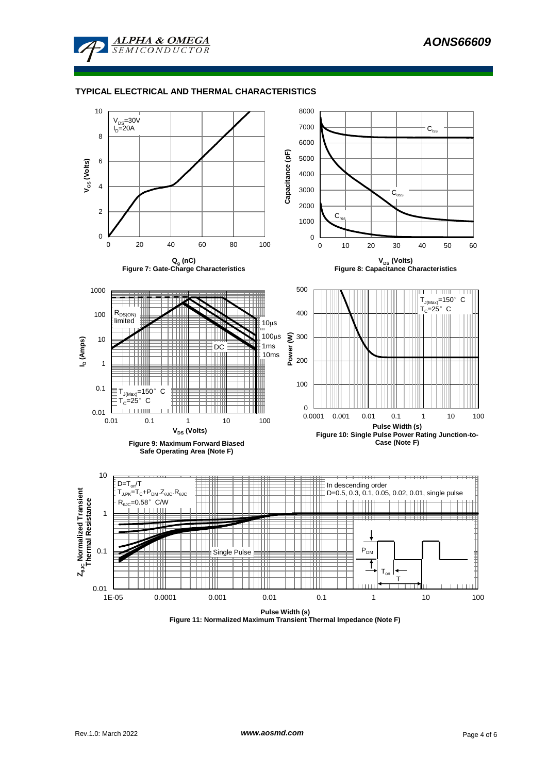

#### **TYPICAL ELECTRICAL AND THERMAL CHARACTERISTICS**



**Figure 11: Normalized Maximum Transient Thermal Impedance (Note F)**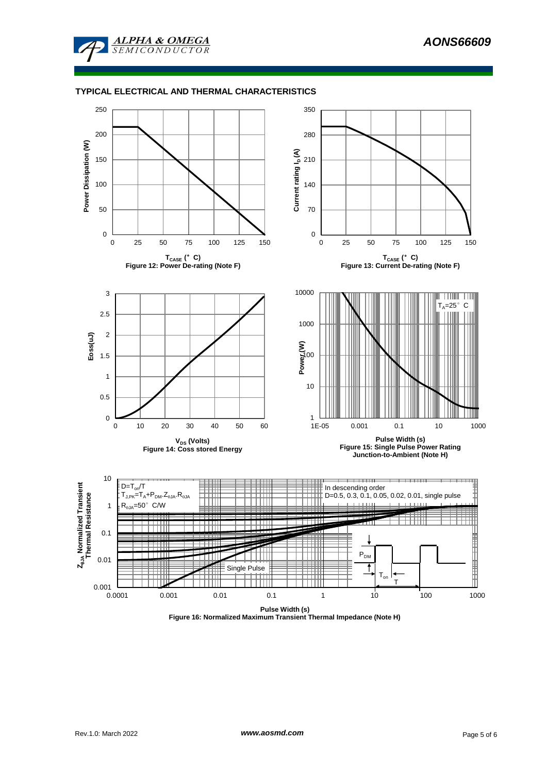

#### **TYPICAL ELECTRICAL AND THERMAL CHARACTERISTICS**



**Figure 16: Normalized Maximum Transient Thermal Impedance (Note H)**